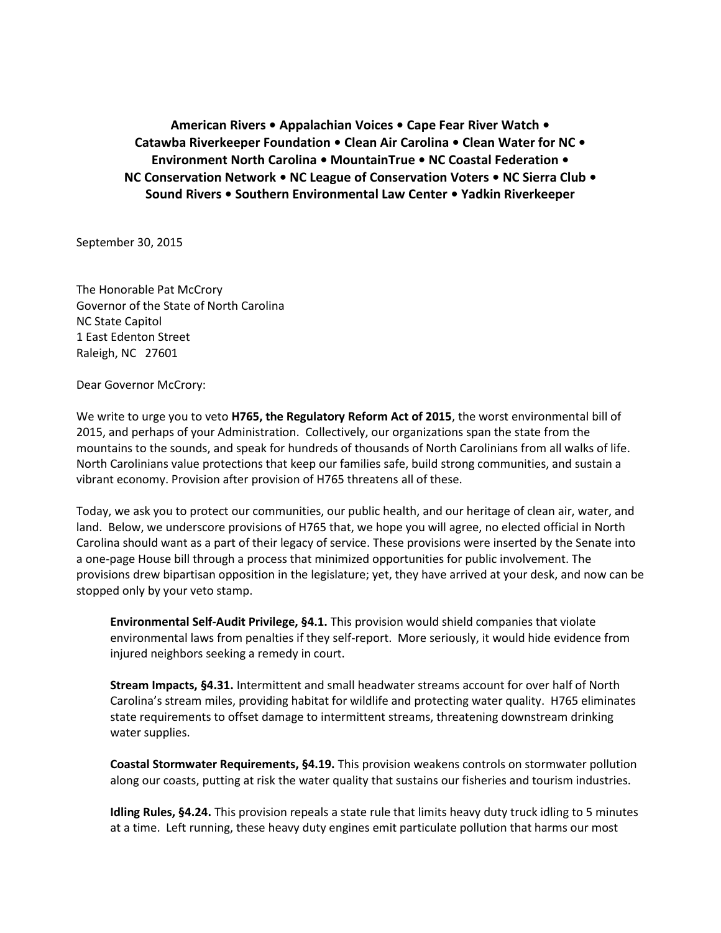**American Rivers • Appalachian Voices • Cape Fear River Watch • Catawba Riverkeeper Foundation • Clean Air Carolina • Clean Water for NC • Environment North Carolina • MountainTrue • NC Coastal Federation • NC Conservation Network • NC League of Conservation Voters • NC Sierra Club • Sound Rivers • Southern Environmental Law Center • Yadkin Riverkeeper**

September 30, 2015

The Honorable Pat McCrory Governor of the State of North Carolina NC State Capitol 1 East Edenton Street Raleigh, NC 27601

Dear Governor McCrory:

We write to urge you to veto **H765, the Regulatory Reform Act of 2015**, the worst environmental bill of 2015, and perhaps of your Administration. Collectively, our organizations span the state from the mountains to the sounds, and speak for hundreds of thousands of North Carolinians from all walks of life. North Carolinians value protections that keep our families safe, build strong communities, and sustain a vibrant economy. Provision after provision of H765 threatens all of these.

Today, we ask you to protect our communities, our public health, and our heritage of clean air, water, and land. Below, we underscore provisions of H765 that, we hope you will agree, no elected official in North Carolina should want as a part of their legacy of service. These provisions were inserted by the Senate into a one-page House bill through a process that minimized opportunities for public involvement. The provisions drew bipartisan opposition in the legislature; yet, they have arrived at your desk, and now can be stopped only by your veto stamp.

**Environmental Self-Audit Privilege, §4.1.** This provision would shield companies that violate environmental laws from penalties if they self-report. More seriously, it would hide evidence from injured neighbors seeking a remedy in court.

**Stream Impacts, §4.31.** Intermittent and small headwater streams account for over half of North Carolina's stream miles, providing habitat for wildlife and protecting water quality. H765 eliminates state requirements to offset damage to intermittent streams, threatening downstream drinking water supplies.

**Coastal Stormwater Requirements, §4.19.** This provision weakens controls on stormwater pollution along our coasts, putting at risk the water quality that sustains our fisheries and tourism industries.

**Idling Rules, §4.24.** This provision repeals a state rule that limits heavy duty truck idling to 5 minutes at a time. Left running, these heavy duty engines emit particulate pollution that harms our most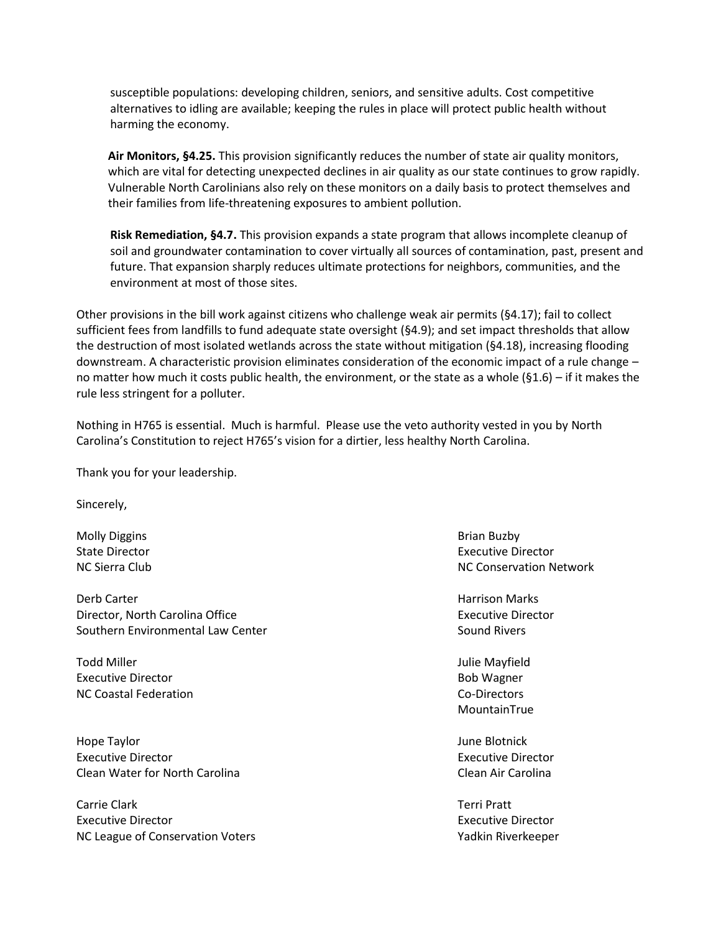susceptible populations: developing children, seniors, and sensitive adults. Cost competitive alternatives to idling are available; keeping the rules in place will protect public health without harming the economy.

**Air Monitors, §4.25.** This provision significantly reduces the number of state air quality monitors, which are vital for detecting unexpected declines in air quality as our state continues to grow rapidly. Vulnerable North Carolinians also rely on these monitors on a daily basis to protect themselves and their families from life-threatening exposures to ambient pollution.

**Risk Remediation, §4.7.** This provision expands a state program that allows incomplete cleanup of soil and groundwater contamination to cover virtually all sources of contamination, past, present and future. That expansion sharply reduces ultimate protections for neighbors, communities, and the environment at most of those sites.

Other provisions in the bill work against citizens who challenge weak air permits (§4.17); fail to collect sufficient fees from landfills to fund adequate state oversight (§4.9); and set impact thresholds that allow the destruction of most isolated wetlands across the state without mitigation (§4.18), increasing flooding downstream. A characteristic provision eliminates consideration of the economic impact of a rule change – no matter how much it costs public health, the environment, or the state as a whole (§1.6) – if it makes the rule less stringent for a polluter.

Nothing in H765 is essential. Much is harmful. Please use the veto authority vested in you by North Carolina's Constitution to reject H765's vision for a dirtier, less healthy North Carolina.

Thank you for your leadership.

Sincerely,

Molly Diggins **Brian Buzby Brian Buzby Brian Buzby Brian Buzby Brian Buzby** 

Derb Carter Harrison Marks (1989) and the United States of the Harrison Marks (1989) and the Harrison Marks (1 Director, North Carolina Office **Executive Director** Executive Director Southern Environmental Law Center Sound Rivers Sound Rivers

Todd Miller **View And Allie Mayfield Julie Mayfield** Executive Director **Bob Wagner** Bob Wagner NC Coastal Federation Co-Directors

Hope Taylor **Matter and Taylor Community** Control of the United States of the United States of the United States of the United States of the United States of the United States of the United States of the United States of t Executive Director **Executive Director** Executive Director Clean Water for North Carolina Clean Air Carolina

Carrie Clark Terri Pratt Executive Director Executive Director NC League of Conservation Voters Valley And American Conservation Valley Riverkeeper

State Director **Executive Director** Executive Director NC Sierra Club NC Conservation Network

MountainTrue